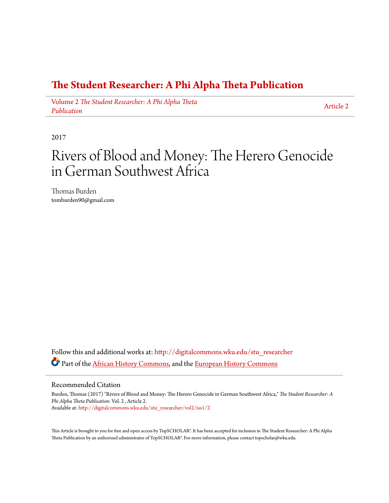# **[The Student Researcher: A Phi Alpha Theta Publication](http://digitalcommons.wku.edu/stu_researcher?utm_source=digitalcommons.wku.edu%2Fstu_researcher%2Fvol2%2Fiss1%2F2&utm_medium=PDF&utm_campaign=PDFCoverPages)**

Volume 2 *[The Student Researcher: A Phi Alpha Theta](http://digitalcommons.wku.edu/stu_researcher/vol2?utm_source=digitalcommons.wku.edu%2Fstu_researcher%2Fvol2%2Fiss1%2F2&utm_medium=PDF&utm_campaign=PDFCoverPages) [Publication](http://digitalcommons.wku.edu/stu_researcher/vol2?utm_source=digitalcommons.wku.edu%2Fstu_researcher%2Fvol2%2Fiss1%2F2&utm_medium=PDF&utm_campaign=PDFCoverPages)*

[Article 2](http://digitalcommons.wku.edu/stu_researcher/vol2/iss1/2?utm_source=digitalcommons.wku.edu%2Fstu_researcher%2Fvol2%2Fiss1%2F2&utm_medium=PDF&utm_campaign=PDFCoverPages)

2017

# Rivers of Blood and Money: The Herero Genocide in German Southwest Africa

Thomas Burden tomburden90@gmail.com

Follow this and additional works at: [http://digitalcommons.wku.edu/stu\\_researcher](http://digitalcommons.wku.edu/stu_researcher?utm_source=digitalcommons.wku.edu%2Fstu_researcher%2Fvol2%2Fiss1%2F2&utm_medium=PDF&utm_campaign=PDFCoverPages) Part of the [African History Commons,](http://network.bepress.com/hgg/discipline/490?utm_source=digitalcommons.wku.edu%2Fstu_researcher%2Fvol2%2Fiss1%2F2&utm_medium=PDF&utm_campaign=PDFCoverPages) and the [European History Commons](http://network.bepress.com/hgg/discipline/492?utm_source=digitalcommons.wku.edu%2Fstu_researcher%2Fvol2%2Fiss1%2F2&utm_medium=PDF&utm_campaign=PDFCoverPages)

#### Recommended Citation

Burden, Thomas (2017) "Rivers of Blood and Money: The Herero Genocide in German Southwest Africa," *The Student Researcher: A Phi Alpha Theta Publication*: Vol. 2 , Article 2. Available at: [http://digitalcommons.wku.edu/stu\\_researcher/vol2/iss1/2](http://digitalcommons.wku.edu/stu_researcher/vol2/iss1/2?utm_source=digitalcommons.wku.edu%2Fstu_researcher%2Fvol2%2Fiss1%2F2&utm_medium=PDF&utm_campaign=PDFCoverPages)

This Article is brought to you for free and open access by TopSCHOLAR®. It has been accepted for inclusion in The Student Researcher: A Phi Alpha Theta Publication by an authorized administrator of TopSCHOLAR®. For more information, please contact topscholar@wku.edu.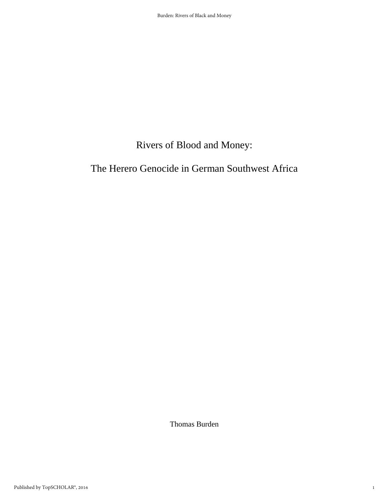# Rivers of Blood and Money:

## The Herero Genocide in German Southwest Africa

Thomas Burden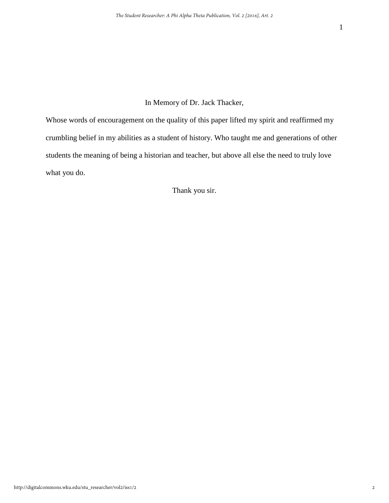### In Memory of Dr. Jack Thacker,

Whose words of encouragement on the quality of this paper lifted my spirit and reaffirmed my crumbling belief in my abilities as a student of history. Who taught me and generations of other students the meaning of being a historian and teacher, but above all else the need to truly love what you do.

Thank you sir.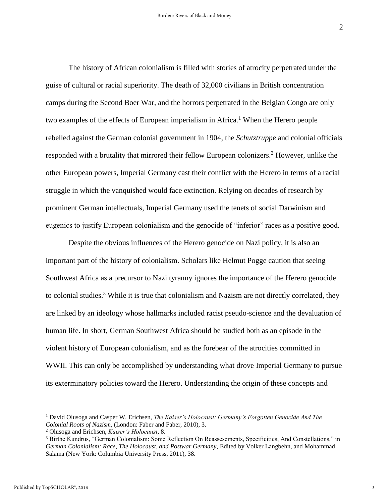$\mathcal{L}$ 

The history of African colonialism is filled with stories of atrocity perpetrated under the guise of cultural or racial superiority. The death of 32,000 civilians in British concentration camps during the Second Boer War, and the horrors perpetrated in the Belgian Congo are only two examples of the effects of European imperialism in Africa.<sup>1</sup> When the Herero people rebelled against the German colonial government in 1904, the *Schutztruppe* and colonial officials responded with a brutality that mirrored their fellow European colonizers. <sup>2</sup> However, unlike the other European powers, Imperial Germany cast their conflict with the Herero in terms of a racial struggle in which the vanquished would face extinction. Relying on decades of research by prominent German intellectuals, Imperial Germany used the tenets of social Darwinism and eugenics to justify European colonialism and the genocide of "inferior" races as a positive good.

Despite the obvious influences of the Herero genocide on Nazi policy, it is also an important part of the history of colonialism. Scholars like Helmut Pogge caution that seeing Southwest Africa as a precursor to Nazi tyranny ignores the importance of the Herero genocide to colonial studies.<sup>3</sup> While it is true that colonialism and Nazism are not directly correlated, they are linked by an ideology whose hallmarks included racist pseudo-science and the devaluation of human life. In short, German Southwest Africa should be studied both as an episode in the violent history of European colonialism, and as the forebear of the atrocities committed in WWII. This can only be accomplished by understanding what drove Imperial Germany to pursue its exterminatory policies toward the Herero. Understanding the origin of these concepts and

<sup>1</sup> David Olusoga and Casper W. Erichsen, *The Kaiser's Holocaust: Germany's Forgotten Genocide And The Colonial Roots of Nazism*, (London: Faber and Faber, 2010), 3.

<sup>2</sup> Olusoga and Erichsen, *Kaiser's Holocaust*, 8.

<sup>3</sup> Birthe Kundrus, "German Colonialism: Some Reflection On Reassesements, Specificities, And Constellations," in *German Colonialism: Race, The Holocaust, and Postwar Germany,* Edited by Volker Langbehn, and Mohammad Salama (New York: Columbia University Press, 2011), 38.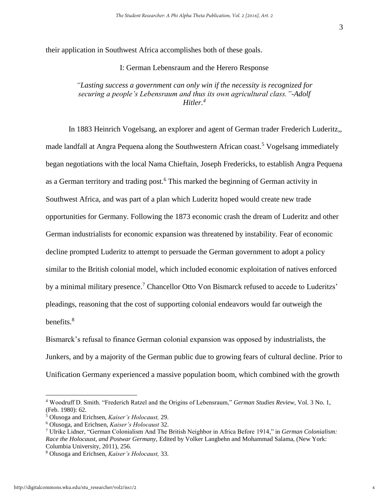their application in Southwest Africa accomplishes both of these goals.

#### I: German Lebensraum and the Herero Response

#### *"Lasting success a government can only win if the necessity is recognized for securing a people's Lebensraum and thus its own agricultural class."-Adolf Hitler.<sup>4</sup>*

In 1883 Heinrich Vogelsang, an explorer and agent of German trader Frederich Luderitz,, made landfall at Angra Pequena along the Southwestern African coast.<sup>5</sup> Vogelsang immediately began negotiations with the local Nama Chieftain, Joseph Fredericks, to establish Angra Pequena as a German territory and trading post.<sup>6</sup> This marked the beginning of German activity in Southwest Africa, and was part of a plan which Luderitz hoped would create new trade opportunities for Germany. Following the 1873 economic crash the dream of Luderitz and other German industrialists for economic expansion was threatened by instability. Fear of economic decline prompted Luderitz to attempt to persuade the German government to adopt a policy similar to the British colonial model, which included economic exploitation of natives enforced by a minimal military presence.<sup>7</sup> Chancellor Otto Von Bismarck refused to accede to Luderitzs' pleadings, reasoning that the cost of supporting colonial endeavors would far outweigh the benefits.<sup>8</sup>

Bismarck's refusal to finance German colonial expansion was opposed by industrialists, the Junkers, and by a majority of the German public due to growing fears of cultural decline. Prior to Unification Germany experienced a massive population boom, which combined with the growth

<sup>4</sup> Woodruff D. Smith. "Frederich Ratzel and the Origins of Lebensraum," *German Studies Review,* Vol. 3 No. 1, (Feb. 1980): 62.

<sup>5</sup> Olusoga and Erichsen, *Kaiser's Holocaust,* 29.

<sup>6</sup> Olusoga, and Erichsen, *Kaiser's Holocaust* 32.

<sup>7</sup> Ulrike Lidner, "German Colonialism And The British Neighbor in Africa Before 1914," in *German Colonialism: Race the Holocaust, and Postwar Germany,* Edited by Volker Langbehn and Mohammad Salama, (New York: Columbia University, 2011), 256.

<sup>8</sup> Olusoga and Erichsen, *Kaiser's Holocaust,* 33.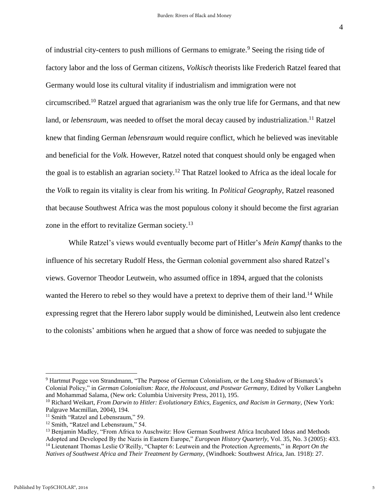of industrial city-centers to push millions of Germans to emigrate.<sup>9</sup> Seeing the rising tide of factory labor and the loss of German citizens, *Volkisch* theorists like Frederich Ratzel feared that Germany would lose its cultural vitality if industrialism and immigration were not circumscribed.<sup>10</sup> Ratzel argued that agrarianism was the only true life for Germans, and that new land, or *lebensraum*, was needed to offset the moral decay caused by industrialization.<sup>11</sup> Ratzel knew that finding German *lebensraum* would require conflict, which he believed was inevitable and beneficial for the *Volk*. However, Ratzel noted that conquest should only be engaged when the goal is to establish an agrarian society.<sup>12</sup> That Ratzel looked to Africa as the ideal locale for the *Volk* to regain its vitality is clear from his writing. In *Political Geography*, Ratzel reasoned that because Southwest Africa was the most populous colony it should become the first agrarian zone in the effort to revitalize German society.<sup>13</sup>

While Ratzel's views would eventually become part of Hitler's *Mein Kampf* thanks to the influence of his secretary Rudolf Hess, the German colonial government also shared Ratzel's views. Governor Theodor Leutwein, who assumed office in 1894, argued that the colonists wanted the Herero to rebel so they would have a pretext to deprive them of their land.<sup>14</sup> While expressing regret that the Herero labor supply would be diminished, Leutwein also lent credence to the colonists' ambitions when he argued that a show of force was needed to subjugate the

<sup>9</sup> Hartmut Pogge von Strandmann, "The Purpose of German Colonialism, or the Long Shadow of Bismarck's Colonial Policy," in *German Colonialism: Race, the Holocaust, and Postwar Germany,* Edited by Volker Langbehn and Mohammad Salama, (New ork: Columbia University Press, 2011), 195.

<sup>&</sup>lt;sup>10</sup> Richard Weikart, *From Darwin to Hitler: Evolutionary Ethics, Eugenics, and Racism in Germany, (New York:* Palgrave Macmillan, 2004), 194.

<sup>&</sup>lt;sup>11</sup> Smith "Ratzel and Lebensraum," 59.

<sup>12</sup> Smith, "Ratzel and Lebensraum," 54.

<sup>&</sup>lt;sup>13</sup> Benjamin Madley, "From Africa to Auschwitz: How German Southwest Africa Incubated Ideas and Methods Adopted and Developed By the Nazis in Eastern Europe," *European History Quarterly,* Vol. 35, No. 3 (2005): 433. <sup>14</sup> Lieutenant Thomas Leslie O'Reilly, "Chapter 6: Leutwein and the Protection Agreements," in *Report On the Natives of Southwest Africa and Their Treatment by Germany,* (Windhoek: Southwest Africa, Jan. 1918): 27.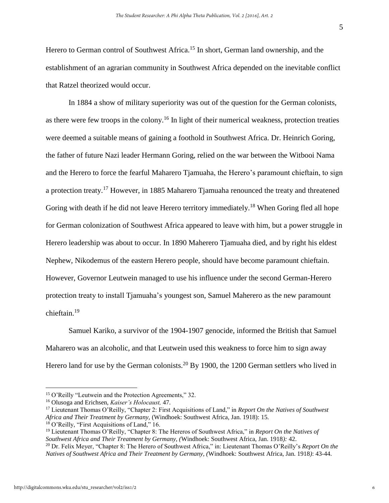Herero to German control of Southwest Africa.<sup>15</sup> In short, German land ownership, and the establishment of an agrarian community in Southwest Africa depended on the inevitable conflict that Ratzel theorized would occur.

In 1884 a show of military superiority was out of the question for the German colonists, as there were few troops in the colony.<sup>16</sup> In light of their numerical weakness, protection treaties were deemed a suitable means of gaining a foothold in Southwest Africa. Dr. Heinrich Goring, the father of future Nazi leader Hermann Goring, relied on the war between the Witbooi Nama and the Herero to force the fearful Maharero Tjamuaha, the Herero's paramount chieftain, to sign a protection treaty.<sup>17</sup> However, in 1885 Maharero Tjamuaha renounced the treaty and threatened Goring with death if he did not leave Herero territory immediately.<sup>18</sup> When Goring fled all hope for German colonization of Southwest Africa appeared to leave with him, but a power struggle in Herero leadership was about to occur. In 1890 Maherero Tjamuaha died, and by right his eldest Nephew, Nikodemus of the eastern Herero people, should have become paramount chieftain. However, Governor Leutwein managed to use his influence under the second German-Herero protection treaty to install Tjamuaha's youngest son, Samuel Maherero as the new paramount chieftain.<sup>19</sup>

Samuel Kariko, a survivor of the 1904-1907 genocide, informed the British that Samuel Maharero was an alcoholic, and that Leutwein used this weakness to force him to sign away Herero land for use by the German colonists.<sup>20</sup> By 1900, the 1200 German settlers who lived in

<sup>15</sup> O'Reilly "Leutwein and the Protection Agreements," 32.

<sup>16</sup> Olusoga and Erichsen, *Kaiser's Holocaust,* 47.

<sup>17</sup> Lieutenant Thomas O'Reilly, "Chapter 2: First Acquisitions of Land," in *Report On the Natives of Southwest Africa and Their Treatment by Germany,* (Windhoek: Southwest Africa, Jan. 1918): 15. <sup>18</sup> O'Reilly, "First Acquisitions of Land," 16.

<sup>19</sup> Lieutenant Thomas O'Reilly, "Chapter 8: The Hereros of Southwest Africa," in *Report On the Natives of Southwest Africa and Their Treatment by Germany, (*Windhoek: Southwest Africa, Jan. 1918*):* 42.

<sup>20</sup> Dr. Felix Meyer, "Chapter 8: The Herero of Southwest Africa," in: Lieutenant Thomas O'Reilly's *Report On the Natives of Southwest Africa and Their Treatment by Germany, (*Windhoek: Southwest Africa, Jan. 1918*)*: 43-44.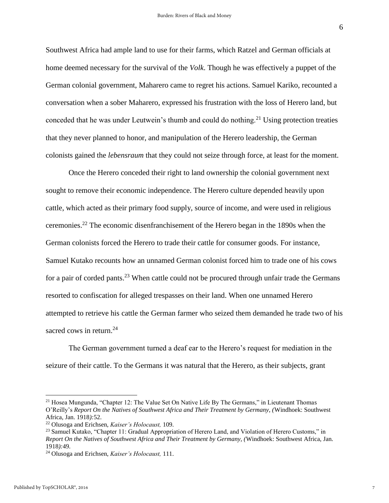Southwest Africa had ample land to use for their farms, which Ratzel and German officials at home deemed necessary for the survival of the *Volk*. Though he was effectively a puppet of the German colonial government, Maharero came to regret his actions. Samuel Kariko, recounted a conversation when a sober Maharero, expressed his frustration with the loss of Herero land, but conceded that he was under Leutwein's thumb and could do nothing.<sup>21</sup> Using protection treaties that they never planned to honor, and manipulation of the Herero leadership, the German colonists gained the *lebensraum* that they could not seize through force, at least for the moment.

Once the Herero conceded their right to land ownership the colonial government next sought to remove their economic independence. The Herero culture depended heavily upon cattle, which acted as their primary food supply, source of income, and were used in religious ceremonies. <sup>22</sup> The economic disenfranchisement of the Herero began in the 1890s when the German colonists forced the Herero to trade their cattle for consumer goods. For instance, Samuel Kutako recounts how an unnamed German colonist forced him to trade one of his cows for a pair of corded pants.<sup>23</sup> When cattle could not be procured through unfair trade the Germans resorted to confiscation for alleged trespasses on their land. When one unnamed Herero attempted to retrieve his cattle the German farmer who seized them demanded he trade two of his sacred cows in return. $^{24}$ 

The German government turned a deaf ear to the Herero's request for mediation in the seizure of their cattle. To the Germans it was natural that the Herero, as their subjects, grant

 $21$  Hosea Mungunda, "Chapter 12: The Value Set On Native Life By The Germans," in Lieutenant Thomas O'Reilly's *Report On the Natives of Southwest Africa and Their Treatment by Germany, (*Windhoek: Southwest Africa, Jan. 1918*):*52.

<sup>22</sup> Olusoga and Erichsen, *Kaiser's Holocaust,* 109.

<sup>&</sup>lt;sup>23</sup> Samuel Kutako, "Chapter 11: Gradual Appropriation of Herero Land, and Violation of Herero Customs," in *Report On the Natives of Southwest Africa and Their Treatment by Germany, (*Windhoek: Southwest Africa, Jan. 1918*):*49.

<sup>24</sup> Olusoga and Erichsen, *Kaiser's Holocaust,* 111.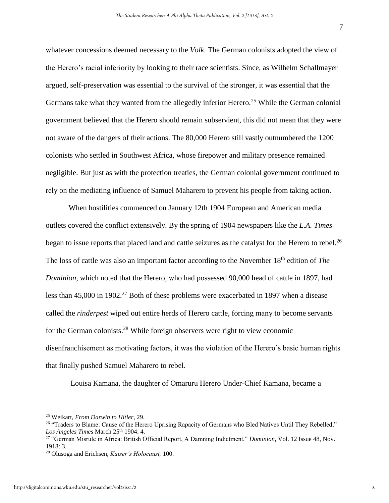whatever concessions deemed necessary to the *Volk*. The German colonists adopted the view of the Herero's racial inferiority by looking to their race scientists. Since, as Wilhelm Schallmayer argued, self-preservation was essential to the survival of the stronger, it was essential that the Germans take what they wanted from the allegedly inferior Herero.<sup>25</sup> While the German colonial government believed that the Herero should remain subservient, this did not mean that they were not aware of the dangers of their actions. The 80,000 Herero still vastly outnumbered the 1200 colonists who settled in Southwest Africa, whose firepower and military presence remained negligible. But just as with the protection treaties, the German colonial government continued to rely on the mediating influence of Samuel Maharero to prevent his people from taking action.

When hostilities commenced on January 12th 1904 European and American media outlets covered the conflict extensively. By the spring of 1904 newspapers like the *L.A. Times*  began to issue reports that placed land and cattle seizures as the catalyst for the Herero to rebel.<sup>26</sup> The loss of cattle was also an important factor according to the November 18<sup>th</sup> edition of *The Dominion*, which noted that the Herero, who had possessed 90,000 head of cattle in 1897, had less than  $45,000$  in  $1902<sup>27</sup>$  Both of these problems were exacerbated in 1897 when a disease called the *rinderpest* wiped out entire herds of Herero cattle, forcing many to become servants for the German colonists.<sup>28</sup> While foreign observers were right to view economic disenfranchisement as motivating factors, it was the violation of the Herero's basic human rights that finally pushed Samuel Maharero to rebel.

Louisa Kamana, the daughter of Omaruru Herero Under-Chief Kamana, became a

<sup>25</sup> Weikart, *From Darwin to Hitler*, 29.

<sup>&</sup>lt;sup>26</sup> "Traders to Blame: Cause of the Herero Uprising Rapacity of Germans who Bled Natives Until They Rebelled," Los Angeles Times March 25<sup>th</sup> 1904: 4.

<sup>27</sup> "German Misrule in Africa: British Official Report, A Damning Indictment," *Dominion*, Vol. 12 Issue 48, Nov. 1918: 3.

<sup>28</sup> Olusoga and Erichsen, *Kaiser's Holocaust,* 100.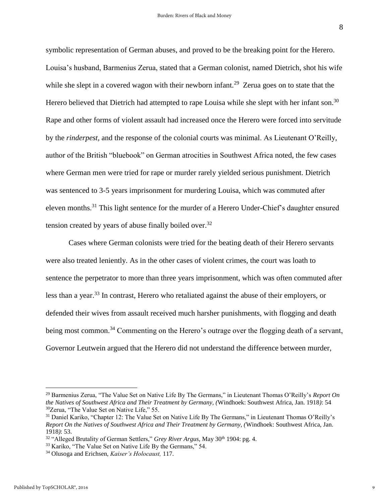symbolic representation of German abuses, and proved to be the breaking point for the Herero. Louisa's husband, Barmenius Zerua, stated that a German colonist, named Dietrich, shot his wife while she slept in a covered wagon with their newborn infant.<sup>29</sup> Zerua goes on to state that the Herero believed that Dietrich had attempted to rape Louisa while she slept with her infant son.<sup>30</sup> Rape and other forms of violent assault had increased once the Herero were forced into servitude by the *rinderpest,* and the response of the colonial courts was minimal. As Lieutenant O'Reilly, author of the British "bluebook" on German atrocities in Southwest Africa noted, the few cases where German men were tried for rape or murder rarely yielded serious punishment. Dietrich was sentenced to 3-5 years imprisonment for murdering Louisa, which was commuted after eleven months.<sup>31</sup> This light sentence for the murder of a Herero Under-Chief's daughter ensured tension created by years of abuse finally boiled over.<sup>32</sup>

Cases where German colonists were tried for the beating death of their Herero servants were also treated leniently. As in the other cases of violent crimes, the court was loath to sentence the perpetrator to more than three years imprisonment, which was often commuted after less than a year.<sup>33</sup> In contrast, Herero who retaliated against the abuse of their employers, or defended their wives from assault received much harsher punishments, with flogging and death being most common.<sup>34</sup> Commenting on the Herero's outrage over the flogging death of a servant, Governor Leutwein argued that the Herero did not understand the difference between murder,

<sup>29</sup> Barmenius Zerua, "The Value Set on Native Life By The Germans," in Lieutenant Thomas O'Reilly's *Report On the Natives of Southwest Africa and Their Treatment by Germany, (*Windhoek: Southwest Africa, Jan. 1918*)*: 54 <sup>30</sup>Zerua, "The Value Set on Native Life," 55.

<sup>31</sup> Daniel Kariko, "Chapter 12: The Value Set on Native Life By The Germans," in Lieutenant Thomas O'Reilly's *Report On the Natives of Southwest Africa and Their Treatment by Germany, (*Windhoek: Southwest Africa, Jan. 1918*)*: 53.

<sup>&</sup>lt;sup>32</sup> "Alleged Brutality of German Settlers," *Grey River Argus*, May 30<sup>th</sup> 1904: pg. 4.

<sup>&</sup>lt;sup>33</sup> Kariko, "The Value Set on Native Life By the Germans," 54.

<sup>34</sup> Olusoga and Erichsen, *Kaiser's Holocaust,* 117.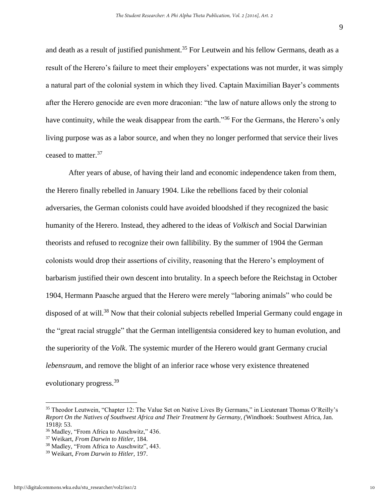and death as a result of justified punishment.<sup>35</sup> For Leutwein and his fellow Germans, death as a result of the Herero's failure to meet their employers' expectations was not murder, it was simply a natural part of the colonial system in which they lived. Captain Maximilian Bayer's comments after the Herero genocide are even more draconian: "the law of nature allows only the strong to have continuity, while the weak disappear from the earth."<sup>36</sup> For the Germans, the Herero's only living purpose was as a labor source, and when they no longer performed that service their lives ceased to matter.<sup>37</sup>

After years of abuse, of having their land and economic independence taken from them, the Herero finally rebelled in January 1904. Like the rebellions faced by their colonial adversaries, the German colonists could have avoided bloodshed if they recognized the basic humanity of the Herero. Instead, they adhered to the ideas of *Volkisch* and Social Darwinian theorists and refused to recognize their own fallibility. By the summer of 1904 the German colonists would drop their assertions of civility, reasoning that the Herero's employment of barbarism justified their own descent into brutality. In a speech before the Reichstag in October 1904, Hermann Paasche argued that the Herero were merely "laboring animals" who could be disposed of at will.<sup>38</sup> Now that their colonial subjects rebelled Imperial Germany could engage in the "great racial struggle" that the German intelligentsia considered key to human evolution, and the superiority of the *Volk*. The systemic murder of the Herero would grant Germany crucial *lebensraum*, and remove the blight of an inferior race whose very existence threatened evolutionary progress.<sup>39</sup>

<sup>35</sup> Theodor Leutwein, "Chapter 12: The Value Set on Native Lives By Germans," in Lieutenant Thomas O'Reilly's *Report On the Natives of Southwest Africa and Their Treatment by Germany, (*Windhoek: Southwest Africa, Jan. 1918*)*: 53.

<sup>36</sup> Madley, "From Africa to Auschwitz," 436.

<sup>37</sup> Weikart, *From Darwin to Hitler*, 184.

<sup>38</sup> Madley, "From Africa to Auschwitz", 443.

<sup>39</sup> Weikart, *From Darwin to Hitler,* 197.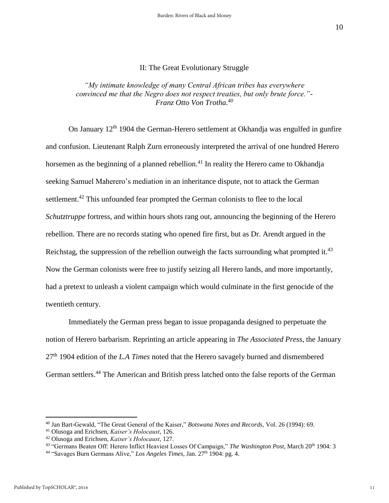#### II: The Great Evolutionary Struggle

*"My intimate knowledge of many Central African tribes has everywhere convinced me that the Negro does not respect treaties, but only brute force."- Franz Otto Von Trotha.<sup>40</sup>*

On January 12<sup>th</sup> 1904 the German-Herero settlement at Okhandja was engulfed in gunfire and confusion. Lieutenant Ralph Zurn erroneously interpreted the arrival of one hundred Herero horsemen as the beginning of a planned rebellion.<sup>41</sup> In reality the Herero came to Okhandja seeking Samuel Maherero's mediation in an inheritance dispute, not to attack the German settlement.<sup>42</sup> This unfounded fear prompted the German colonists to flee to the local *Schutztruppe* fortress, and within hours shots rang out, announcing the beginning of the Herero rebellion. There are no records stating who opened fire first, but as Dr. Arendt argued in the Reichstag, the suppression of the rebellion outweigh the facts surrounding what prompted it.<sup>43</sup> Now the German colonists were free to justify seizing all Herero lands, and more importantly, had a pretext to unleash a violent campaign which would culminate in the first genocide of the twentieth century.

Immediately the German press began to issue propaganda designed to perpetuate the notion of Herero barbarism. Reprinting an article appearing in *The Associated Press*, the January 27th 1904 edition of the *L.A Times* noted that the Herero savagely burned and dismembered German settlers.<sup>44</sup> The American and British press latched onto the false reports of the German

<sup>40</sup> Jan Bart-Gewald, "The Great General of the Kaiser," *Botswana Notes and Records,* Vol. 26 (1994): 69.

<sup>41</sup> Olusoga and Erichsen, *Kaiser's Holocaust*, 126.

<sup>42</sup> Olusoga and Erichsen, *Kaiser's Holocaust*, 127.

<sup>&</sup>lt;sup>43</sup> "Germans Beaten Off: Herero Inflict Heaviest Losses Of Campaign," *The Washington Post*, March 20<sup>th</sup> 1904: 3

<sup>&</sup>lt;sup>44</sup> "Savages Burn Germans Alive," *Los Angeles Times*, Jan. 27<sup>th</sup> 1904: pg. 4.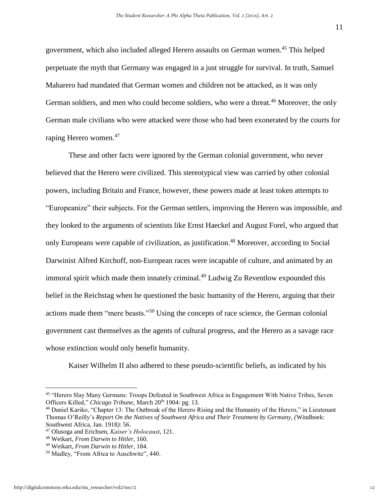government, which also included alleged Herero assaults on German women.<sup>45</sup> This helped perpetuate the myth that Germany was engaged in a just struggle for survival. In truth, Samuel Maharero had mandated that German women and children not be attacked, as it was only German soldiers, and men who could become soldiers, who were a threat.<sup>46</sup> Moreover, the only German male civilians who were attacked were those who had been exonerated by the courts for raping Herero women.<sup>47</sup>

These and other facts were ignored by the German colonial government, who never believed that the Herero were civilized. This stereotypical view was carried by other colonial powers, including Britain and France, however, these powers made at least token attempts to "Europeanize" their subjects. For the German settlers, improving the Herero was impossible, and they looked to the arguments of scientists like Ernst Haeckel and August Forel, who argued that only Europeans were capable of civilization, as justification. <sup>48</sup> Moreover, according to Social Darwinist Alfred Kirchoff, non-European races were incapable of culture, and animated by an immoral spirit which made them innately criminal.<sup>49</sup> Ludwig Zu Reventlow expounded this belief in the Reichstag when he questioned the basic humanity of the Herero, arguing that their actions made them "mere beasts."<sup>50</sup> Using the concepts of race science, the German colonial government cast themselves as the agents of cultural progress, and the Herero as a savage race whose extinction would only benefit humanity.

Kaiser Wilhelm II also adhered to these pseudo-scientific beliefs, as indicated by his

<sup>45</sup> "Herero Slay Many Germans: Troops Defeated in Southwest Africa in Engagement With Native Tribes, Seven Officers Killed," *Chicago Tribune*, March 20<sup>th</sup> 1904: pg. 13.

<sup>46</sup> Daniel Kariko, "Chapter 13: The Outbreak of the Herero Rising and the Humanity of the Herero," in Lieutenant Thomas O'Reilly's *Report On the Natives of Southwest Africa and Their Treatment by Germany, (*Windhoek: Southwest Africa, Jan. 1918*)*: 56.

<sup>47</sup> Olusoga and Erichsen, *Kaiser's Holocaust*, 121.

<sup>48</sup> Weikart, *From Darwin to Hitler*, 160.

<sup>49</sup> Weikart, *From Darwin to Hitler*, 184.

<sup>50</sup> Madley, "From Africa to Auschwitz", 440.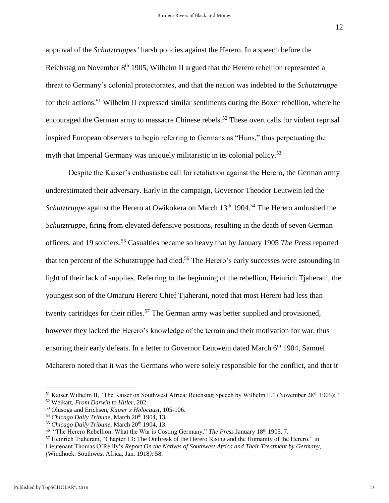approval of the *Schutztruppes'* harsh policies against the Herero. In a speech before the Reichstag on November 8<sup>th</sup> 1905, Wilhelm II argued that the Herero rebellion represented a threat to Germany's colonial protectorates, and that the nation was indebted to the *Schutztruppe* for their actions.<sup>51</sup> Wilhelm II expressed similar sentiments during the Boxer rebellion, where he encouraged the German army to massacre Chinese rebels.<sup>52</sup> These overt calls for violent reprisal inspired European observers to begin referring to Germans as "Huns," thus perpetuating the myth that Imperial Germany was uniquely militaristic in its colonial policy.<sup>53</sup>

Despite the Kaiser's enthusiastic call for retaliation against the Herero, the German army underestimated their adversary. Early in the campaign, Governor Theodor Leutwein led the *Schutztruppe* against the Herero at Owikokera on March 13<sup>th</sup> 1904.<sup>54</sup> The Herero ambushed the *Schutztruppe*, firing from elevated defensive positions, resulting in the death of seven German officers, and 19 soldiers. <sup>55</sup> Casualties became so heavy that by January 1905 *The Press* reported that ten percent of the Schutztruppe had died.<sup>56</sup> The Herero's early successes were astounding in light of their lack of supplies. Referring to the beginning of the rebellion, Heinrich Tjaherani, the youngest son of the Omaruru Herero Chief Tjaherani, noted that most Herero had less than twenty cartridges for their rifles.<sup>57</sup> The German army was better supplied and provisioned, however they lacked the Herero's knowledge of the terrain and their motivation for war, thus ensuring their early defeats. In a letter to Governor Leutwein dated March 6<sup>th</sup> 1904, Samuel Maharero noted that it was the Germans who were solely responsible for the conflict, and that it

<sup>&</sup>lt;sup>51</sup> Kaiser Wilhelm II, "The Kaiser on Southwest Africa: Reichstag Speech by Wilhelm II," (November 28<sup>th</sup> 1905): 1 <sup>52</sup> Weikart, *From Darwin to Hitler*, 202.

<sup>53</sup> Olusoga and Erichsen, *Kaiser's Holocaust*, 105-106.

<sup>&</sup>lt;sup>54</sup> Chicago Daily Tribune, March 20<sup>th</sup> 1904, 13.

<sup>&</sup>lt;sup>55</sup> Chicago Daily Tribune, March 20<sup>th</sup> 1904, 13.

<sup>56</sup> "The Herero Rebellion: What the War is Costing Germany," *The Press* January 18th 1905, 7.

<sup>57</sup> Heinrich Tjaherani, "Chapter 13: The Outbreak of the Herero Rising and the Humanity of the Herero," in Lieutenant Thomas O'Reilly's *Report On the Natives of Southwest Africa and Their Treatment by Germany, (*Windhoek: Southwest Africa, Jan. 1918*)*: 58.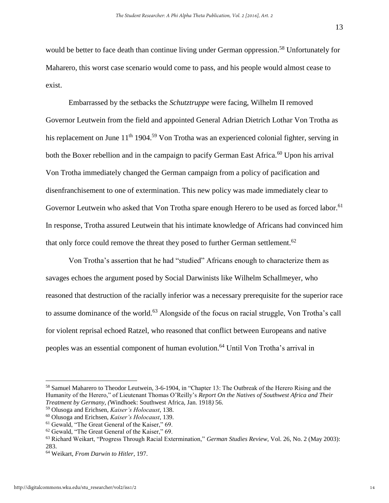would be better to face death than continue living under German oppression.<sup>58</sup> Unfortunately for Maharero, this worst case scenario would come to pass, and his people would almost cease to exist.

Embarrassed by the setbacks the *Schutztruppe* were facing, Wilhelm II removed Governor Leutwein from the field and appointed General Adrian Dietrich Lothar Von Trotha as his replacement on June 11<sup>th</sup> 1904.<sup>59</sup> Von Trotha was an experienced colonial fighter, serving in both the Boxer rebellion and in the campaign to pacify German East Africa.<sup>60</sup> Upon his arrival Von Trotha immediately changed the German campaign from a policy of pacification and disenfranchisement to one of extermination. This new policy was made immediately clear to Governor Leutwein who asked that Von Trotha spare enough Herero to be used as forced labor.<sup>61</sup> In response, Trotha assured Leutwein that his intimate knowledge of Africans had convinced him that only force could remove the threat they posed to further German settlement.<sup>62</sup>

Von Trotha's assertion that he had "studied" Africans enough to characterize them as savages echoes the argument posed by Social Darwinists like Wilhelm Schallmeyer, who reasoned that destruction of the racially inferior was a necessary prerequisite for the superior race to assume dominance of the world.<sup>63</sup> Alongside of the focus on racial struggle, Von Trotha's call for violent reprisal echoed Ratzel, who reasoned that conflict between Europeans and native peoples was an essential component of human evolution.<sup>64</sup> Until Von Trotha's arrival in

<sup>58</sup> Samuel Maharero to Theodor Leutwein, 3-6-1904, in "Chapter 13: The Outbreak of the Herero Rising and the Humanity of the Herero," of Lieutenant Thomas O'Reilly's *Report On the Natives of Southwest Africa and Their Treatment by Germany, (*Windhoek: Southwest Africa, Jan. 1918*)* 56.

<sup>59</sup> Olusoga and Erichsen, *Kaiser's Holocaust*, 138.

<sup>60</sup> Olusoga and Erichsen, *Kaiser's Holocaust*, 139.

<sup>61</sup> Gewald, "The Great General of the Kaiser," 69.

<sup>62</sup> Gewald, "The Great General of the Kaiser," 69.

<sup>63</sup> Richard Weikart, "Progress Through Racial Extermination," *German Studies Review,* Vol. 26, No. 2 (May 2003): 283.

<sup>64</sup> Weikart, *From Darwin to Hitler*, 197.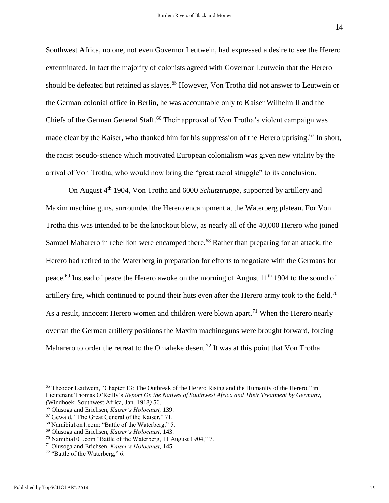Southwest Africa, no one, not even Governor Leutwein, had expressed a desire to see the Herero exterminated. In fact the majority of colonists agreed with Governor Leutwein that the Herero should be defeated but retained as slaves.<sup>65</sup> However, Von Trotha did not answer to Leutwein or the German colonial office in Berlin, he was accountable only to Kaiser Wilhelm II and the Chiefs of the German General Staff.<sup>66</sup> Their approval of Von Trotha's violent campaign was made clear by the Kaiser, who thanked him for his suppression of the Herero uprising.<sup>67</sup> In short, the racist pseudo-science which motivated European colonialism was given new vitality by the arrival of Von Trotha, who would now bring the "great racial struggle" to its conclusion.

On August 4th 1904, Von Trotha and 6000 *Schutztruppe*, supported by artillery and Maxim machine guns, surrounded the Herero encampment at the Waterberg plateau. For Von Trotha this was intended to be the knockout blow, as nearly all of the 40,000 Herero who joined Samuel Maharero in rebellion were encamped there.<sup>68</sup> Rather than preparing for an attack, the Herero had retired to the Waterberg in preparation for efforts to negotiate with the Germans for peace.<sup>69</sup> Instead of peace the Herero awoke on the morning of August  $11<sup>th</sup> 1904$  to the sound of artillery fire, which continued to pound their huts even after the Herero army took to the field.<sup>70</sup> As a result, innocent Herero women and children were blown apart.<sup>71</sup> When the Herero nearly overran the German artillery positions the Maxim machineguns were brought forward, forcing Maharero to order the retreat to the Omaheke desert.<sup>72</sup> It was at this point that Von Trotha

<sup>65</sup> Theodor Leutwein, "Chapter 13: The Outbreak of the Herero Rising and the Humanity of the Herero," in Lieutenant Thomas O'Reilly's *Report On the Natives of Southwest Africa and Their Treatment by Germany, (*Windhoek: Southwest Africa, Jan. 1918*)* 56.

<sup>66</sup> Olusoga and Erichsen, *Kaiser's Holocaust,* 139.

<sup>67</sup> Gewald, "The Great General of the Kaiser," 71.

<sup>68</sup> Namibia1on1.com: "Battle of the Waterberg," 5.

<sup>69</sup> Olusoga and Erichsen, *Kaiser's Holocaust,* 143.

<sup>70</sup> Namibia101.com "Battle of the Waterberg, 11 August 1904," 7.

<sup>71</sup> Olusoga and Erichsen, *Kaiser's Holocaust*, 145.

<sup>72</sup> "Battle of the Waterberg," 6.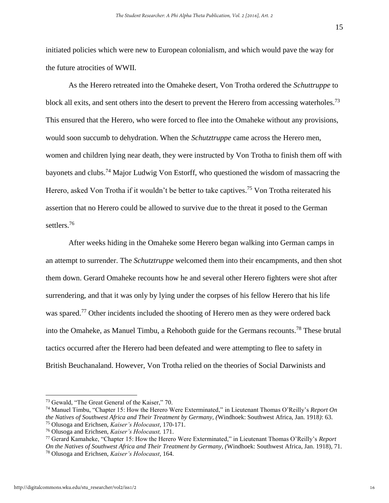initiated policies which were new to European colonialism, and which would pave the way for the future atrocities of WWII.

As the Herero retreated into the Omaheke desert, Von Trotha ordered the *Schuttruppe* to block all exits, and sent others into the desert to prevent the Herero from accessing waterholes.<sup>73</sup> This ensured that the Herero, who were forced to flee into the Omaheke without any provisions, would soon succumb to dehydration. When the *Schutztruppe* came across the Herero men, women and children lying near death, they were instructed by Von Trotha to finish them off with bayonets and clubs.<sup>74</sup> Major Ludwig Von Estorff, who questioned the wisdom of massacring the Herero, asked Von Trotha if it wouldn't be better to take captives.<sup>75</sup> Von Trotha reiterated his assertion that no Herero could be allowed to survive due to the threat it posed to the German settlers.<sup>76</sup>

After weeks hiding in the Omaheke some Herero began walking into German camps in an attempt to surrender. The *Schutztruppe* welcomed them into their encampments, and then shot them down. Gerard Omaheke recounts how he and several other Herero fighters were shot after surrendering, and that it was only by lying under the corpses of his fellow Herero that his life was spared.<sup>77</sup> Other incidents included the shooting of Herero men as they were ordered back into the Omaheke, as Manuel Timbu, a Rehoboth guide for the Germans recounts.<sup>78</sup> These brutal tactics occurred after the Herero had been defeated and were attempting to flee to safety in British Beuchanaland. However, Von Trotha relied on the theories of Social Darwinists and

<sup>73</sup> Gewald, "The Great General of the Kaiser," 70.

<sup>74</sup> Manuel Timbu, "Chapter 15: How the Herero Were Exterminated," in Lieutenant Thomas O'Reilly's *Report On the Natives of Southwest Africa and Their Treatment by Germany, (*Windhoek: Southwest Africa, Jan. 1918*)*: 63.

<sup>75</sup> Olusoga and Erichsen, *Kaiser's Holocaust,* 170-171.

<sup>76</sup> Olusoga and Erichsen, *Kaiser's Holocaust,* 171.

<sup>77</sup> Gerard Kamaheke, "Chapter 15: How the Herero Were Exterminated," in Lieutenant Thomas O'Reilly's *Report On the Natives of Southwest Africa and Their Treatment by Germany, (*Windhoek: Southwest Africa, Jan. 1918), 71. <sup>78</sup> Olusoga and Erichsen, *Kaiser's Holocaust,* 164.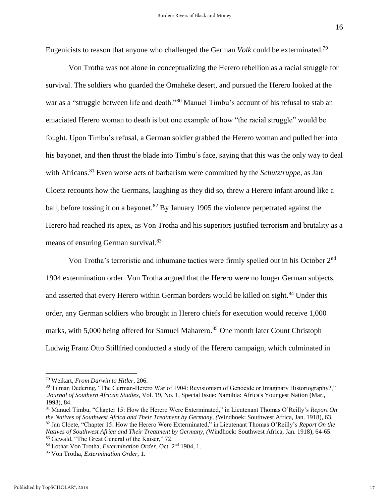Eugenicists to reason that anyone who challenged the German *Volk* could be exterminated.<sup>79</sup>

Von Trotha was not alone in conceptualizing the Herero rebellion as a racial struggle for survival. The soldiers who guarded the Omaheke desert, and pursued the Herero looked at the war as a "struggle between life and death."<sup>80</sup> Manuel Timbu's account of his refusal to stab an emaciated Herero woman to death is but one example of how "the racial struggle" would be fought. Upon Timbu's refusal, a German soldier grabbed the Herero woman and pulled her into his bayonet, and then thrust the blade into Timbu's face, saying that this was the only way to deal with Africans.<sup>81</sup> Even worse acts of barbarism were committed by the *Schutztruppe*, as Jan Cloetz recounts how the Germans, laughing as they did so, threw a Herero infant around like a ball, before tossing it on a bayonet.<sup>82</sup> By January 1905 the violence perpetrated against the Herero had reached its apex, as Von Trotha and his superiors justified terrorism and brutality as a means of ensuring German survival.<sup>83</sup>

Von Trotha's terroristic and inhumane tactics were firmly spelled out in his October 2nd 1904 extermination order. Von Trotha argued that the Herero were no longer German subjects, and asserted that every Herero within German borders would be killed on sight.<sup>84</sup> Under this order, any German soldiers who brought in Herero chiefs for execution would receive 1,000 marks, with 5,000 being offered for Samuel Maharero.<sup>85</sup> One month later Count Christoph Ludwig Franz Otto Stillfried conducted a study of the Herero campaign, which culminated in

<sup>79</sup> Weikart, *From Darwin to Hitler*, 206.

<sup>&</sup>lt;sup>80</sup> Tilman Dedering, "The German-Herero War of 1904: Revisionism of Genocide or Imaginary Historiography?," *Journal of Southern African Studies*, Vol. 19, No. 1, Special Issue: Namibia: Africa's Youngest Nation (Mar., 1993), 84.

<sup>81</sup> Manuel Timbu, "Chapter 15: How the Herero Were Exterminated," in Lieutenant Thomas O'Reilly's *Report On the Natives of Southwest Africa and Their Treatment by Germany, (*Windhoek: Southwest Africa, Jan. 1918), 63. <sup>82</sup> Jan Cloete, "Chapter 15: How the Herero Were Exterminated," in Lieutenant Thomas O'Reilly's *Report On the Natives of Southwest Africa and Their Treatment by Germany, (*Windhoek: Southwest Africa, Jan. 1918), 64-65. <sup>83</sup> Gewald, "The Great General of the Kaiser," 72.

<sup>84</sup> Lothar Von Trotha, *Extermination Order,* Oct. 2nd 1904, 1.

<sup>85</sup> Von Trotha, *Extermination Order,* 1.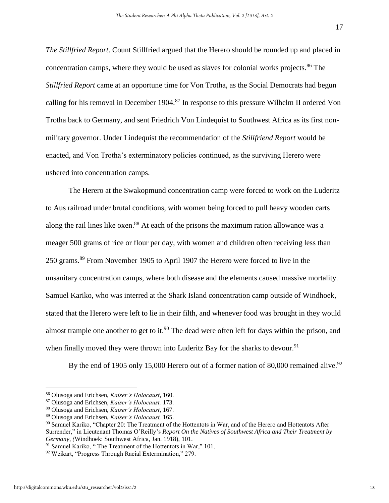*The Stillfried Report*. Count Stillfried argued that the Herero should be rounded up and placed in concentration camps, where they would be used as slaves for colonial works projects.<sup>86</sup> The *Stillfried Report* came at an opportune time for Von Trotha, as the Social Democrats had begun calling for his removal in December 1904.<sup>87</sup> In response to this pressure Wilhelm II ordered Von Trotha back to Germany, and sent Friedrich Von Lindequist to Southwest Africa as its first nonmilitary governor. Under Lindequist the recommendation of the *Stillfriend Report* would be enacted, and Von Trotha's exterminatory policies continued, as the surviving Herero were ushered into concentration camps.

The Herero at the Swakopmund concentration camp were forced to work on the Luderitz to Aus railroad under brutal conditions, with women being forced to pull heavy wooden carts along the rail lines like oxen.<sup>88</sup> At each of the prisons the maximum ration allowance was a meager 500 grams of rice or flour per day, with women and children often receiving less than 250 grams.<sup>89</sup> From November 1905 to April 1907 the Herero were forced to live in the unsanitary concentration camps, where both disease and the elements caused massive mortality. Samuel Kariko, who was interred at the Shark Island concentration camp outside of Windhoek, stated that the Herero were left to lie in their filth, and whenever food was brought in they would almost trample one another to get to it.<sup>90</sup> The dead were often left for days within the prison, and when finally moved they were thrown into Luderitz Bay for the sharks to devour.<sup>91</sup>

By the end of 1905 only 15,000 Herero out of a former nation of 80,000 remained alive.<sup>92</sup>

<sup>86</sup> Olusoga and Erichsen, *Kaiser's Holocaust*, 160.

<sup>87</sup> Olusoga and Erichsen, *Kaiser's Holocaust,* 173.

<sup>88</sup> Olusoga and Erichsen, *Kaiser's Holocaust*, 167.

<sup>89</sup> Olusoga and Erichsen, *Kaiser's Holocaust,* 165.

<sup>90</sup> Samuel Kariko, "Chapter 20: The Treatment of the Hottentots in War, and of the Herero and Hottentots After Surrender," in Lieutenant Thomas O'Reilly's *Report On the Natives of Southwest Africa and Their Treatment by Germany, (*Windhoek: Southwest Africa, Jan. 1918), 101.

<sup>&</sup>lt;sup>91</sup> Samuel Kariko, "The Treatment of the Hottentots in War," 101.

<sup>92</sup> Weikart, "Progress Through Racial Extermination," 279.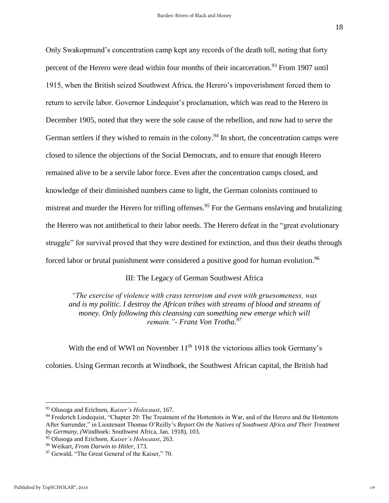Only Swakopmund's concentration camp kept any records of the death toll, noting that forty percent of the Herero were dead within four months of their incarceration.<sup>93</sup> From 1907 until 1915, when the British seized Southwest Africa, the Herero's impoverishment forced them to return to servile labor. Governor Lindequist's proclamation, which was read to the Herero in December 1905, noted that they were the sole cause of the rebellion, and now had to serve the German settlers if they wished to remain in the colony.<sup>94</sup> In short, the concentration camps were closed to silence the objections of the Social Democrats, and to ensure that enough Herero remained alive to be a servile labor force. Even after the concentration camps closed, and knowledge of their diminished numbers came to light, the German colonists continued to mistreat and murder the Herero for trifling offenses.<sup>95</sup> For the Germans enslaving and brutalizing the Herero was not antithetical to their labor needs. The Herero defeat in the "great evolutionary struggle" for survival proved that they were destined for extinction, and thus their deaths through forced labor or brutal punishment were considered a positive good for human evolution.<sup>96</sup>

### III: The Legacy of German Southwest Africa

*"The exercise of violence with crass terrorism and even with gruesomeness, was and is my politic. I destroy the African tribes with streams of blood and streams of money. Only following this cleansing can something new emerge which will remain."- Franz Von Trotha.<sup>97</sup>*

With the end of WWI on November 11<sup>th</sup> 1918 the victorious allies took Germany's colonies. Using German records at Windhoek, the Southwest African capital, the British had

<sup>93</sup> Olusoga and Erichsen, *Kaiser's Holocaust*, 167.

<sup>94</sup> Frederich Lindequist, "Chapter 20: The Treatment of the Hottentots in War, and of the Herero and the Hottentots After Surrender," in Lieutenant Thomas O'Reilly's *Report On the Natives of Southwest Africa and Their Treatment by Germany, (*Windhoek: Southwest Africa, Jan. 1918), 103.

<sup>95</sup> Olusoga and Erichsen, *Kaiser's Holocaust*, 263.

<sup>96</sup> Weikart, *From Darwin to Hitler,* 173.

<sup>&</sup>lt;sup>97</sup> Gewald, "The Great General of the Kaiser," 70.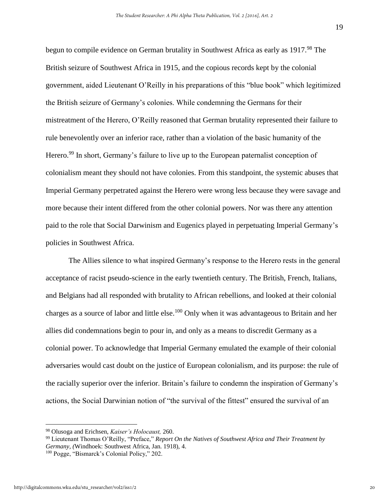begun to compile evidence on German brutality in Southwest Africa as early as 1917.<sup>98</sup> The British seizure of Southwest Africa in 1915, and the copious records kept by the colonial government, aided Lieutenant O'Reilly in his preparations of this "blue book" which legitimized the British seizure of Germany's colonies. While condemning the Germans for their mistreatment of the Herero, O'Reilly reasoned that German brutality represented their failure to rule benevolently over an inferior race, rather than a violation of the basic humanity of the Herero.<sup>99</sup> In short, Germany's failure to live up to the European paternalist conception of colonialism meant they should not have colonies. From this standpoint, the systemic abuses that Imperial Germany perpetrated against the Herero were wrong less because they were savage and more because their intent differed from the other colonial powers. Nor was there any attention paid to the role that Social Darwinism and Eugenics played in perpetuating Imperial Germany's policies in Southwest Africa.

The Allies silence to what inspired Germany's response to the Herero rests in the general acceptance of racist pseudo-science in the early twentieth century. The British, French, Italians, and Belgians had all responded with brutality to African rebellions, and looked at their colonial charges as a source of labor and little else.<sup>100</sup> Only when it was advantageous to Britain and her allies did condemnations begin to pour in, and only as a means to discredit Germany as a colonial power. To acknowledge that Imperial Germany emulated the example of their colonial adversaries would cast doubt on the justice of European colonialism, and its purpose: the rule of the racially superior over the inferior. Britain's failure to condemn the inspiration of Germany's actions, the Social Darwinian notion of "the survival of the fittest" ensured the survival of an

<sup>98</sup> Olusoga and Erichsen, *Kaiser's Holocaust,* 260.

<sup>99</sup> Lieutenant Thomas O'Reilly, "Preface," *Report On the Natives of Southwest Africa and Their Treatment by Germany, (*Windhoek: Southwest Africa, Jan. 1918), 4.

<sup>100</sup> Pogge, "Bismarck's Colonial Policy," 202.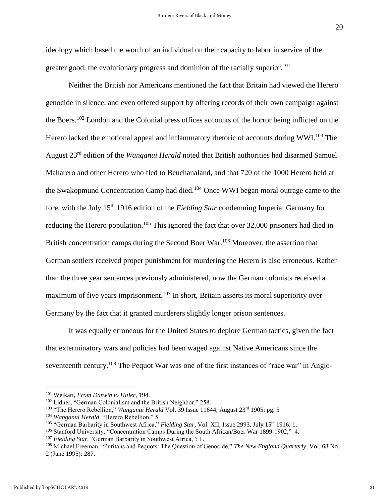ideology which based the worth of an individual on their capacity to labor in service of the greater good: the evolutionary progress and dominion of the racially superior.<sup>101</sup>

Neither the British nor Americans mentioned the fact that Britain had viewed the Herero genocide in silence, and even offered support by offering records of their own campaign against the Boers.<sup>102</sup> London and the Colonial press offices accounts of the horror being inflicted on the Herero lacked the emotional appeal and inflammatory rhetoric of accounts during WWI.<sup>103</sup> The August 23rd edition of the *Wanganui Herald* noted that British authorities had disarmed Samuel Maharero and other Herero who fled to Beuchanaland, and that 720 of the 1000 Herero held at the Swakopmund Concentration Camp had died.<sup>104</sup> Once WWI began moral outrage came to the fore, with the July 15th 1916 edition of the *Fielding Star* condemning Imperial Germany for reducing the Herero population.<sup>105</sup> This ignored the fact that over 32,000 prisoners had died in British concentration camps during the Second Boer War.<sup>106</sup> Moreover, the assertion that German settlers received proper punishment for murdering the Herero is also erroneous. Rather than the three year sentences previously administered, now the German colonists received a maximum of five years imprisonment.<sup>107</sup> In short, Britain asserts its moral superiority over Germany by the fact that it granted murderers slightly longer prison sentences.

It was equally erroneous for the United States to deplore German tactics, given the fact that exterminatory wars and policies had been waged against Native Americans since the seventeenth century.<sup>108</sup> The Pequot War was one of the first instances of "race war" in Anglo-

<sup>101</sup> Weikart, *From Darwin to Hitler,* 194.

<sup>102</sup> Lidner, "German Colonialism and the British Neighbor," 258.

<sup>&</sup>lt;sup>103</sup> "The Herero Rebellion," *Wanganui Herald* Vol. 39 Issue 11644, August 23<sup>rd</sup> 1905: pg. 5

<sup>104</sup> *Wanganui Herald,* "Herero Rebellion," 5.

<sup>&</sup>lt;sup>105</sup> "German Barbarity in Southwest Africa," *Fielding Star*, Vol. XII, Issue 2993, July 15<sup>th</sup> 1916: 1.

<sup>&</sup>lt;sup>106</sup> Stanford University, "Concentration Camps During the South African/Boer War 1899-1902," 4.

<sup>&</sup>lt;sup>107</sup> Fielding Star, "German Barbarity in Southwest Africa,": 1.

<sup>&</sup>lt;sup>108</sup> Michael Freeman, "Puritans and Pequots: The Question of Genocide," The New England Quarterly, Vol. 68 No. 2 (June 1995): 287.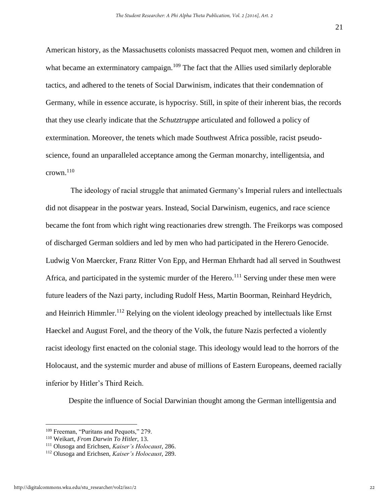American history, as the Massachusetts colonists massacred Pequot men, women and children in what became an exterminatory campaign.<sup>109</sup> The fact that the Allies used similarly deplorable tactics, and adhered to the tenets of Social Darwinism, indicates that their condemnation of Germany, while in essence accurate, is hypocrisy. Still, in spite of their inherent bias, the records that they use clearly indicate that the *Schutztruppe* articulated and followed a policy of extermination. Moreover, the tenets which made Southwest Africa possible, racist pseudoscience, found an unparalleled acceptance among the German monarchy, intelligentsia, and crown. $110$ 

The ideology of racial struggle that animated Germany's Imperial rulers and intellectuals did not disappear in the postwar years. Instead, Social Darwinism, eugenics, and race science became the font from which right wing reactionaries drew strength. The Freikorps was composed of discharged German soldiers and led by men who had participated in the Herero Genocide. Ludwig Von Maercker, Franz Ritter Von Epp, and Herman Ehrhardt had all served in Southwest Africa, and participated in the systemic murder of the Herero.<sup>111</sup> Serving under these men were future leaders of the Nazi party, including Rudolf Hess, Martin Boorman, Reinhard Heydrich, and Heinrich Himmler.<sup>112</sup> Relying on the violent ideology preached by intellectuals like Ernst Haeckel and August Forel, and the theory of the Volk, the future Nazis perfected a violently racist ideology first enacted on the colonial stage. This ideology would lead to the horrors of the Holocaust, and the systemic murder and abuse of millions of Eastern Europeans, deemed racially inferior by Hitler's Third Reich.

Despite the influence of Social Darwinian thought among the German intelligentsia and

<sup>109</sup> Freeman, "Puritans and Pequots," 279.

<sup>110</sup> Weikart, *From Darwin To Hitler,* 13.

<sup>111</sup> Olusoga and Erichsen, *Kaiser's Holocaust*, 286.

<sup>112</sup> Olusoga and Erichsen, *Kaiser's Holocaust,* 289.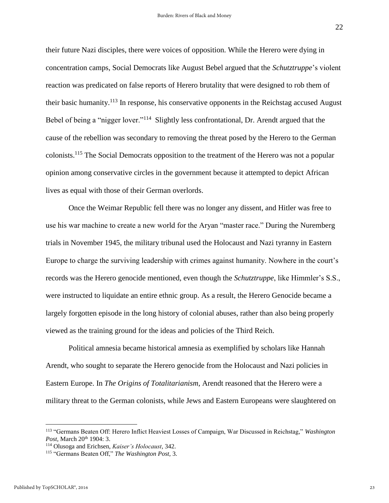their future Nazi disciples, there were voices of opposition. While the Herero were dying in concentration camps, Social Democrats like August Bebel argued that the *Schutztruppe*'s violent reaction was predicated on false reports of Herero brutality that were designed to rob them of their basic humanity.<sup>113</sup> In response, his conservative opponents in the Reichstag accused August Bebel of being a "nigger lover."<sup>114</sup> Slightly less confrontational, Dr. Arendt argued that the cause of the rebellion was secondary to removing the threat posed by the Herero to the German colonists.<sup>115</sup> The Social Democrats opposition to the treatment of the Herero was not a popular opinion among conservative circles in the government because it attempted to depict African lives as equal with those of their German overlords.

Once the Weimar Republic fell there was no longer any dissent, and Hitler was free to use his war machine to create a new world for the Aryan "master race." During the Nuremberg trials in November 1945, the military tribunal used the Holocaust and Nazi tyranny in Eastern Europe to charge the surviving leadership with crimes against humanity. Nowhere in the court's records was the Herero genocide mentioned, even though the *Schutztruppe*, like Himmler's S.S., were instructed to liquidate an entire ethnic group. As a result, the Herero Genocide became a largely forgotten episode in the long history of colonial abuses, rather than also being properly viewed as the training ground for the ideas and policies of the Third Reich.

Political amnesia became historical amnesia as exemplified by scholars like Hannah Arendt, who sought to separate the Herero genocide from the Holocaust and Nazi policies in Eastern Europe. In *The Origins of Totalitarianism*, Arendt reasoned that the Herero were a military threat to the German colonists, while Jews and Eastern Europeans were slaughtered on

<sup>113</sup> "Germans Beaten Off: Herero Inflict Heaviest Losses of Campaign, War Discussed in Reichstag," *Washington*  Post, March 20<sup>th</sup> 1904: 3.

<sup>114</sup> Olusoga and Erichsen, *Kaiser's Holocaust,* 342.

<sup>115</sup> "Germans Beaten Off," *The Washington Post,* 3.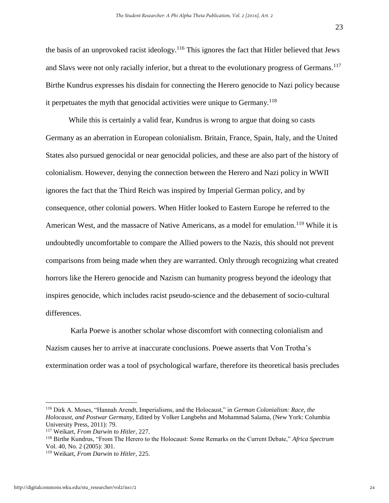the basis of an unprovoked racist ideology.<sup>116</sup> This ignores the fact that Hitler believed that Jews and Slavs were not only racially inferior, but a threat to the evolutionary progress of Germans.<sup>117</sup> Birthe Kundrus expresses his disdain for connecting the Herero genocide to Nazi policy because it perpetuates the myth that genocidal activities were unique to Germany.<sup>118</sup>

While this is certainly a valid fear, Kundrus is wrong to argue that doing so casts Germany as an aberration in European colonialism. Britain, France, Spain, Italy, and the United States also pursued genocidal or near genocidal policies, and these are also part of the history of colonialism. However, denying the connection between the Herero and Nazi policy in WWII ignores the fact that the Third Reich was inspired by Imperial German policy, and by consequence, other colonial powers. When Hitler looked to Eastern Europe he referred to the American West, and the massacre of Native Americans, as a model for emulation.<sup>119</sup> While it is undoubtedly uncomfortable to compare the Allied powers to the Nazis, this should not prevent comparisons from being made when they are warranted. Only through recognizing what created horrors like the Herero genocide and Nazism can humanity progress beyond the ideology that inspires genocide, which includes racist pseudo-science and the debasement of socio-cultural differences.

Karla Poewe is another scholar whose discomfort with connecting colonialism and Nazism causes her to arrive at inaccurate conclusions. Poewe asserts that Von Trotha's extermination order was a tool of psychological warfare, therefore its theoretical basis precludes

<sup>116</sup> Dirk A. Moses, "Hannah Arendt, Imperialisms, and the Holocaust," in *German Colonialism: Race, the Holocaust, and Postwar Germany,* Edited by Volker Langbehn and Mohammad Salama, (New York: Columbia University Press, 2011): 79.

<sup>117</sup> Weikart, *From Darwin to Hitler,* 227.

<sup>118</sup> Birthe Kundrus, "From The Herero to the Holocaust: Some Remarks on the Current Debate," *Africa Spectrum*  Vol. 40, No. 2 (2005): 301.

<sup>119</sup> Weikart, *From Darwin to Hitler,* 225.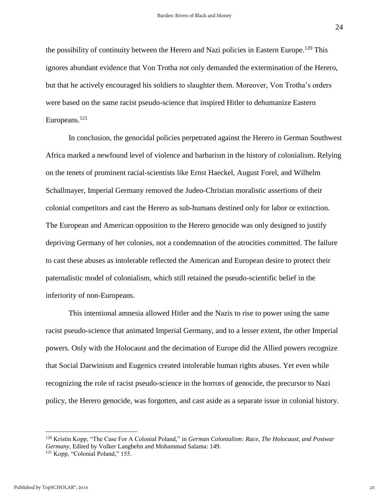the possibility of continuity between the Herero and Nazi policies in Eastern Europe.<sup>120</sup> This ignores abundant evidence that Von Trotha not only demanded the extermination of the Herero, but that he actively encouraged his soldiers to slaughter them. Moreover, Von Trotha's orders were based on the same racist pseudo-science that inspired Hitler to dehumanize Eastern Europeans. 121

In conclusion, the genocidal policies perpetrated against the Herero in German Southwest Africa marked a newfound level of violence and barbarism in the history of colonialism. Relying on the tenets of prominent racial-scientists like Ernst Haeckel, August Forel, and Wilhelm Schallmayer, Imperial Germany removed the Judeo-Christian moralistic assertions of their colonial competitors and cast the Herero as sub-humans destined only for labor or extinction. The European and American opposition to the Herero genocide was only designed to justify depriving Germany of her colonies, not a condemnation of the atrocities committed. The failure to cast these abuses as intolerable reflected the American and European desire to protect their paternalistic model of colonialism, which still retained the pseudo-scientific belief in the inferiority of non-Europeans.

This intentional amnesia allowed Hitler and the Nazis to rise to power using the same racist pseudo-science that animated Imperial Germany, and to a lesser extent, the other Imperial powers. Only with the Holocaust and the decimation of Europe did the Allied powers recognize that Social Darwinism and Eugenics created intolerable human rights abuses. Yet even while recognizing the role of racist pseudo-science in the horrors of genocide, the precursor to Nazi policy, the Herero genocide, was forgotten, and cast aside as a separate issue in colonial history.

<sup>120</sup> Kristin Kopp, "The Case For A Colonial Poland," in *German Colonialism: Race, The Holocaust, and Postwar Germany,* Edited by Volker Langbehn and Mohammad Salama: 149.

<sup>121</sup> Kopp, "Colonial Poland," 155.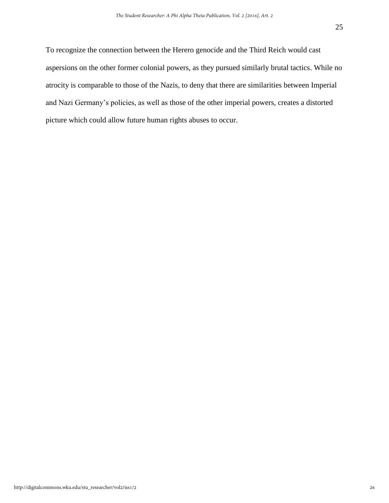To recognize the connection between the Herero genocide and the Third Reich would cast aspersions on the other former colonial powers, as they pursued similarly brutal tactics. While no atrocity is comparable to those of the Nazis, to deny that there are similarities between Imperial and Nazi Germany's policies, as well as those of the other imperial powers, creates a distorted picture which could allow future human rights abuses to occur.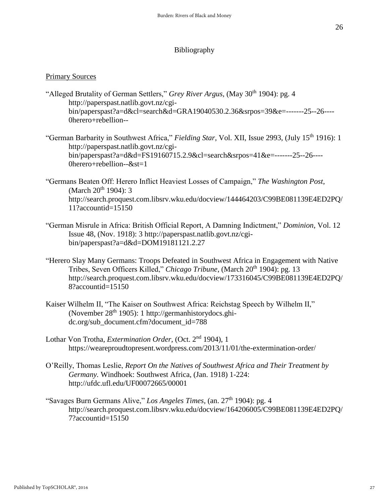#### Bibliography

#### Primary Sources

- "Alleged Brutality of German Settlers," *Grey River Argus*, (May 30<sup>th</sup> 1904): pg. 4 [http://paperspast.natlib.govt.nz/cgi](http://paperspast.natlib.govt.nz/cgi-bin/paperspast?a=d&cl=search&d=GRA19040530.2.36&srpos=39&e=-------25--26----0herero+rebellion--)[bin/paperspast?a=d&cl=search&d=GRA19040530.2.36&srpos=39&e=-------25--26----](http://paperspast.natlib.govt.nz/cgi-bin/paperspast?a=d&cl=search&d=GRA19040530.2.36&srpos=39&e=-------25--26----0herero+rebellion--) [0herero+rebellion--](http://paperspast.natlib.govt.nz/cgi-bin/paperspast?a=d&cl=search&d=GRA19040530.2.36&srpos=39&e=-------25--26----0herero+rebellion--)
- "German Barbarity in Southwest Africa," *Fielding Star*, Vol. XII, Issue 2993, (July 15th 1916): 1 [http://paperspast.natlib.govt.nz/cgi](http://paperspast.natlib.govt.nz/cgi-bin/paperspast?a=d&d=FS19160715.2.9&cl=search&srpos=41&e=-------25--26----0herero+rebellion--&st=1)[bin/paperspast?a=d&d=FS19160715.2.9&cl=search&srpos=41&e=-------25--26----](http://paperspast.natlib.govt.nz/cgi-bin/paperspast?a=d&d=FS19160715.2.9&cl=search&srpos=41&e=-------25--26----0herero+rebellion--&st=1) [0herero+rebellion--&st=1](http://paperspast.natlib.govt.nz/cgi-bin/paperspast?a=d&d=FS19160715.2.9&cl=search&srpos=41&e=-------25--26----0herero+rebellion--&st=1)
- "Germans Beaten Off: Herero Inflict Heaviest Losses of Campaign," *The Washington Post*, (March  $20^{th}$  1904): 3 [http://search.proquest.com.libsrv.wku.edu/docview/144464203/C99BE081139E4ED2PQ/](http://search.proquest.com.libsrv.wku.edu/docview/144464203/C99BE081139E4ED2PQ/11?accountid=15150) [11?accountid=15150](http://search.proquest.com.libsrv.wku.edu/docview/144464203/C99BE081139E4ED2PQ/11?accountid=15150)
- "German Misrule in Africa: British Official Report, A Damning Indictment," *Dominion*, Vol. 12 Issue 48, (Nov. 1918): 3 [http://paperspast.natlib.govt.nz/cgi](http://paperspast.natlib.govt.nz/cgi-bin/paperspast?a=d&d=DOM19181121.2.27)[bin/paperspast?a=d&d=DOM19181121.2.27](http://paperspast.natlib.govt.nz/cgi-bin/paperspast?a=d&d=DOM19181121.2.27)
- "Herero Slay Many Germans: Troops Defeated in Southwest Africa in Engagement with Native Tribes, Seven Officers Killed," *Chicago Tribune*, (March 20<sup>th</sup> 1904): pg. 13 [http://search.proquest.com.libsrv.wku.edu/docview/173316045/C99BE081139E4ED2PQ/](http://search.proquest.com.libsrv.wku.edu/docview/173316045/C99BE081139E4ED2PQ/8?accountid=15150) [8?accountid=15150](http://search.proquest.com.libsrv.wku.edu/docview/173316045/C99BE081139E4ED2PQ/8?accountid=15150)
- Kaiser Wilhelm II, "The Kaiser on Southwest Africa: Reichstag Speech by Wilhelm II," (November  $28<sup>th</sup> 1905$ ): 1 [http://germanhistorydocs.ghi](http://germanhistorydocs.ghi-dc.org/sub_document.cfm?document_id=788)[dc.org/sub\\_document.cfm?document\\_id=788](http://germanhistorydocs.ghi-dc.org/sub_document.cfm?document_id=788)
- Lothar Von Trotha, *Extermination Order,* (Oct. 2nd 1904), 1 <https://weareproudtopresent.wordpress.com/2013/11/01/the-extermination-order/>
- O'Reilly, Thomas Leslie, *Report On the Natives of Southwest Africa and Their Treatment by Germany.* Windhoek: Southwest Africa, (Jan. 1918) 1-224: <http://ufdc.ufl.edu/UF00072665/00001>
- "Savages Burn Germans Alive," Los Angeles Times, (an. 27<sup>th</sup> 1904): pg. 4 [http://search.proquest.com.libsrv.wku.edu/docview/164206005/C99BE081139E4ED2PQ/](http://search.proquest.com.libsrv.wku.edu/docview/164206005/C99BE081139E4ED2PQ/7?accountid=15150)  $7?$ accountid=15150